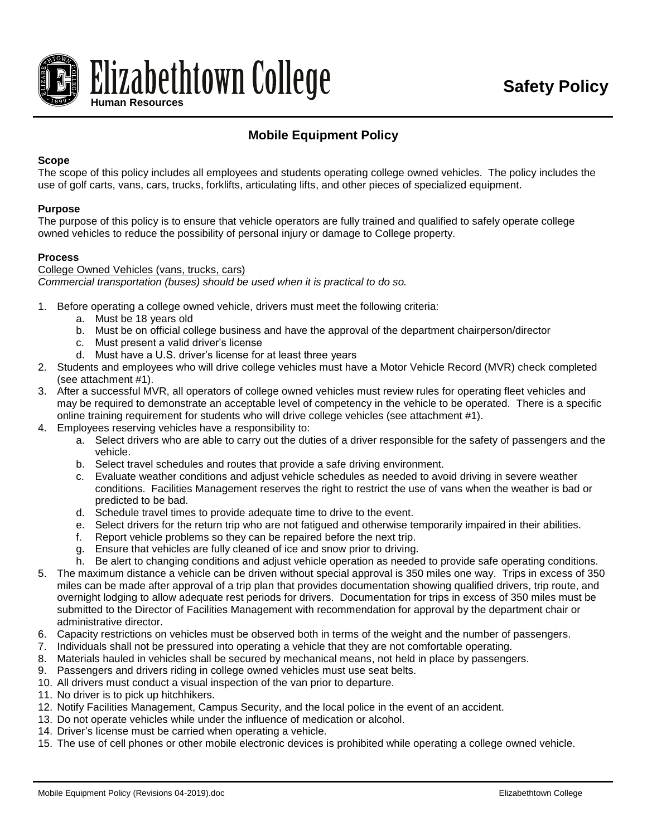

## **Mobile Equipment Policy**

#### **Scope**

The scope of this policy includes all employees and students operating college owned vehicles. The policy includes the use of golf carts, vans, cars, trucks, forklifts, articulating lifts, and other pieces of specialized equipment.

#### **Purpose**

The purpose of this policy is to ensure that vehicle operators are fully trained and qualified to safely operate college owned vehicles to reduce the possibility of personal injury or damage to College property.

#### **Process**

College Owned Vehicles (vans, trucks, cars) *Commercial transportation (buses) should be used when it is practical to do so.* 

- 1. Before operating a college owned vehicle, drivers must meet the following criteria:
	- a. Must be 18 years old
	- b. Must be on official college business and have the approval of the department chairperson/director
	- c. Must present a valid driver's license
	- d. Must have a U.S. driver's license for at least three years
- 2. Students and employees who will drive college vehicles must have a Motor Vehicle Record (MVR) check completed (see attachment #1).
- 3. After a successful MVR, all operators of college owned vehicles must review rules for operating fleet vehicles and may be required to demonstrate an acceptable level of competency in the vehicle to be operated. There is a specific online training requirement for students who will drive college vehicles (see attachment #1).
- 4. Employees reserving vehicles have a responsibility to:
	- a. Select drivers who are able to carry out the duties of a driver responsible for the safety of passengers and the vehicle.
	- b. Select travel schedules and routes that provide a safe driving environment.
	- c. Evaluate weather conditions and adjust vehicle schedules as needed to avoid driving in severe weather conditions. Facilities Management reserves the right to restrict the use of vans when the weather is bad or predicted to be bad.
	- d. Schedule travel times to provide adequate time to drive to the event.
	- e. Select drivers for the return trip who are not fatigued and otherwise temporarily impaired in their abilities.
	- f. Report vehicle problems so they can be repaired before the next trip.
	- g. Ensure that vehicles are fully cleaned of ice and snow prior to driving.
	- h. Be alert to changing conditions and adjust vehicle operation as needed to provide safe operating conditions.
- 5. The maximum distance a vehicle can be driven without special approval is 350 miles one way. Trips in excess of 350 miles can be made after approval of a trip plan that provides documentation showing qualified drivers, trip route, and overnight lodging to allow adequate rest periods for drivers. Documentation for trips in excess of 350 miles must be submitted to the Director of Facilities Management with recommendation for approval by the department chair or administrative director.
- 6. Capacity restrictions on vehicles must be observed both in terms of the weight and the number of passengers.
- 7. Individuals shall not be pressured into operating a vehicle that they are not comfortable operating.
- 8. Materials hauled in vehicles shall be secured by mechanical means, not held in place by passengers.
- 9. Passengers and drivers riding in college owned vehicles must use seat belts.
- 10. All drivers must conduct a visual inspection of the van prior to departure.
- 11. No driver is to pick up hitchhikers.
- 12. Notify Facilities Management, Campus Security, and the local police in the event of an accident.
- 13. Do not operate vehicles while under the influence of medication or alcohol.
- 14. Driver's license must be carried when operating a vehicle.
- 15. The use of cell phones or other mobile electronic devices is prohibited while operating a college owned vehicle.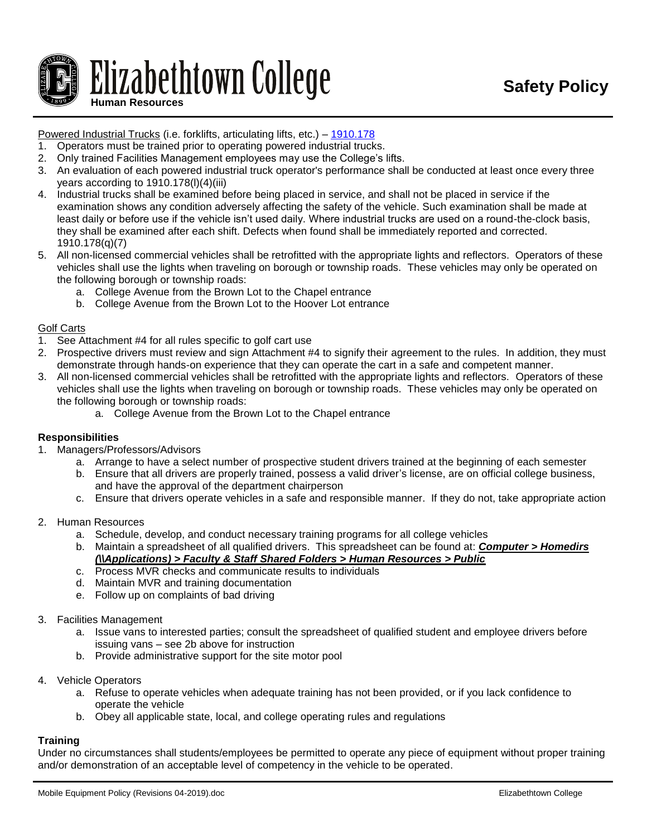# Elizabethtown College **Human Resources**

#### Powered Industrial Trucks (i.e. forklifts, articulating lifts, etc.) – [1910.178](http://www.osha.gov/pls/oshaweb/owadisp.show_document?p_table=STANDARDS&p_id=9828)

- 1. Operators must be trained prior to operating powered industrial trucks.
- 2. Only trained Facilities Management employees may use the College's lifts.
- 3. An evaluation of each powered industrial truck operator's performance shall be conducted at least once every three years according to 1910.178(l)(4)(iii)
- 4. Industrial trucks shall be examined before being placed in service, and shall not be placed in service if the examination shows any condition adversely affecting the safety of the vehicle. Such examination shall be made at least daily or before use if the vehicle isn't used daily. Where industrial trucks are used on a round-the-clock basis, they shall be examined after each shift. Defects when found shall be immediately reported and corrected. 1910.178(q)(7)
- 5. All non-licensed commercial vehicles shall be retrofitted with the appropriate lights and reflectors. Operators of these vehicles shall use the lights when traveling on borough or township roads. These vehicles may only be operated on the following borough or township roads:
	- a. College Avenue from the Brown Lot to the Chapel entrance
	- b. College Avenue from the Brown Lot to the Hoover Lot entrance

#### Golf Carts

- 1. See Attachment #4 for all rules specific to golf cart use
- 2. Prospective drivers must review and sign Attachment #4 to signify their agreement to the rules. In addition, they must demonstrate through hands-on experience that they can operate the cart in a safe and competent manner.
- 3. All non-licensed commercial vehicles shall be retrofitted with the appropriate lights and reflectors. Operators of these vehicles shall use the lights when traveling on borough or township roads. These vehicles may only be operated on the following borough or township roads:
	- a. College Avenue from the Brown Lot to the Chapel entrance

#### **Responsibilities**

- 1. Managers/Professors/Advisors
	- a. Arrange to have a select number of prospective student drivers trained at the beginning of each semester
	- b. Ensure that all drivers are properly trained, possess a valid driver's license, are on official college business, and have the approval of the department chairperson
	- c. Ensure that drivers operate vehicles in a safe and responsible manner. If they do not, take appropriate action
- 2. Human Resources
	- a. Schedule, develop, and conduct necessary training programs for all college vehicles
	- b. Maintain a spreadsheet of all qualified drivers. This spreadsheet can be found at: *Computer > Homedirs (\\Applications) > Faculty & Staff Shared Folders > Human Resources > Public*
	- c. Process MVR checks and communicate results to individuals
	- d. Maintain MVR and training documentation
	- e. Follow up on complaints of bad driving
- 3. Facilities Management
	- a. Issue vans to interested parties; consult the spreadsheet of qualified student and employee drivers before issuing vans – see 2b above for instruction
	- b. Provide administrative support for the site motor pool
- 4. Vehicle Operators
	- a. Refuse to operate vehicles when adequate training has not been provided, or if you lack confidence to operate the vehicle
	- b. Obey all applicable state, local, and college operating rules and regulations

#### **Training**

Under no circumstances shall students/employees be permitted to operate any piece of equipment without proper training and/or demonstration of an acceptable level of competency in the vehicle to be operated.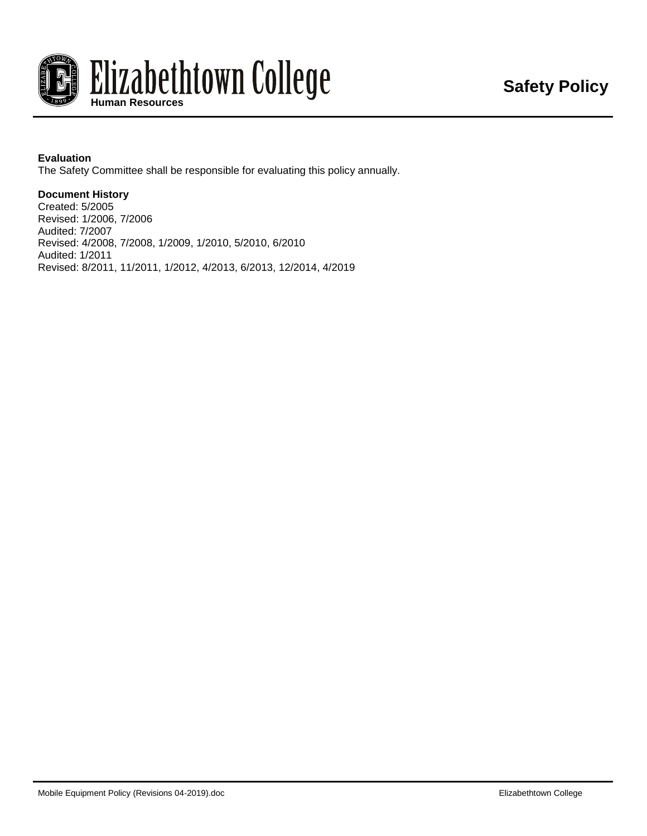

#### **Evaluation**

The Safety Committee shall be responsible for evaluating this policy annually.

#### **Document History**

Created: 5/2005 Revised: 1/2006, 7/2006 Audited: 7/2007 Revised: 4/2008, 7/2008, 1/2009, 1/2010, 5/2010, 6/2010 Audited: 1/2011 Revised: 8/2011, 11/2011, 1/2012, 4/2013, 6/2013, 12/2014, 4/2019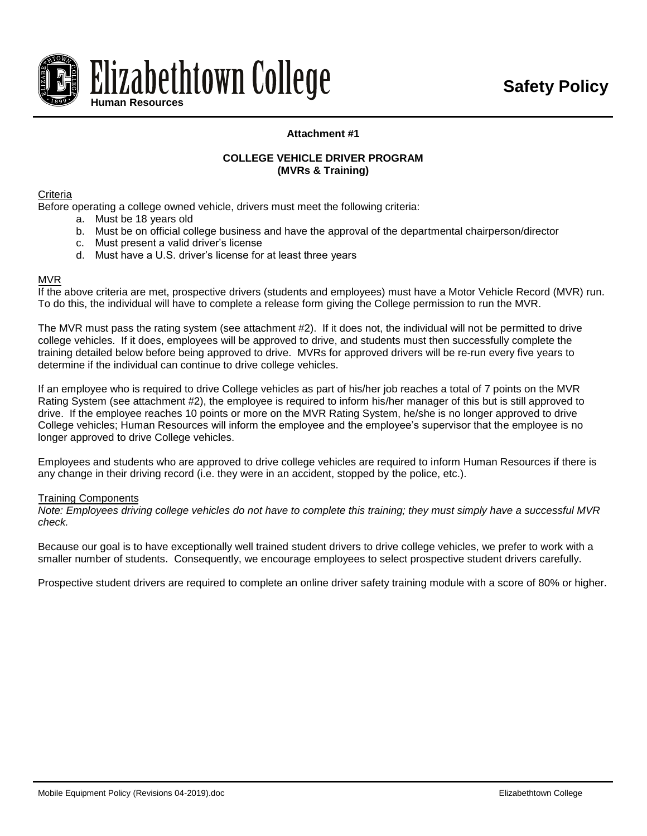

#### **Attachment #1**

#### **COLLEGE VEHICLE DRIVER PROGRAM (MVRs & Training)**

**Criteria** 

Before operating a college owned vehicle, drivers must meet the following criteria:

- a. Must be 18 years old
- b. Must be on official college business and have the approval of the departmental chairperson/director
- c. Must present a valid driver's license
- d. Must have a U.S. driver's license for at least three years

#### MVR

If the above criteria are met, prospective drivers (students and employees) must have a Motor Vehicle Record (MVR) run. To do this, the individual will have to complete a release form giving the College permission to run the MVR.

The MVR must pass the rating system (see attachment #2). If it does not, the individual will not be permitted to drive college vehicles. If it does, employees will be approved to drive, and students must then successfully complete the training detailed below before being approved to drive. MVRs for approved drivers will be re-run every five years to determine if the individual can continue to drive college vehicles.

If an employee who is required to drive College vehicles as part of his/her job reaches a total of 7 points on the MVR Rating System (see attachment #2), the employee is required to inform his/her manager of this but is still approved to drive. If the employee reaches 10 points or more on the MVR Rating System, he/she is no longer approved to drive College vehicles; Human Resources will inform the employee and the employee's supervisor that the employee is no longer approved to drive College vehicles.

Employees and students who are approved to drive college vehicles are required to inform Human Resources if there is any change in their driving record (i.e. they were in an accident, stopped by the police, etc.).

#### Training Components

*Note: Employees driving college vehicles do not have to complete this training; they must simply have a successful MVR check.*

Because our goal is to have exceptionally well trained student drivers to drive college vehicles, we prefer to work with a smaller number of students. Consequently, we encourage employees to select prospective student drivers carefully.

Prospective student drivers are required to complete an online driver safety training module with a score of 80% or higher.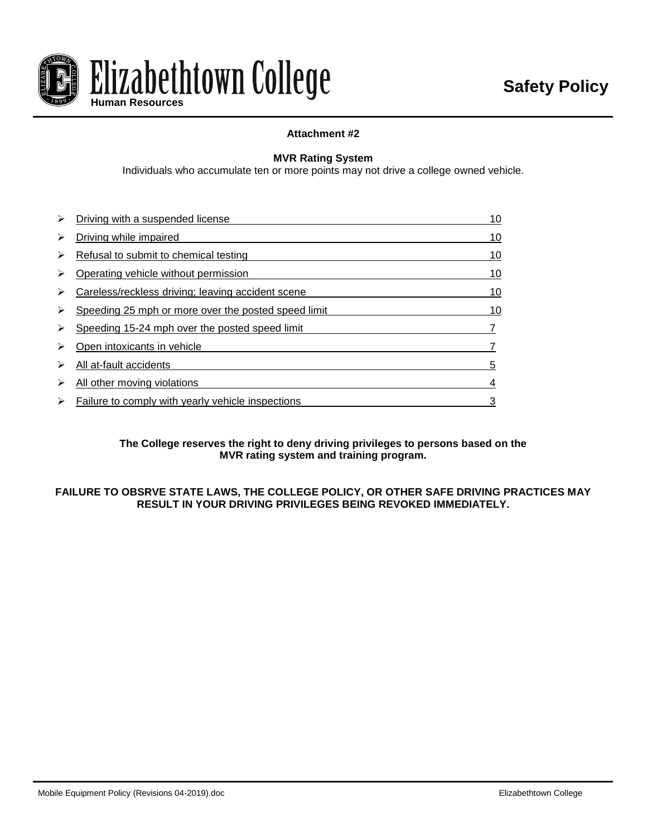

#### **Attachment #2**

#### **MVR Rating System**

Individuals who accumulate ten or more points may not drive a college owned vehicle.

| ⋗ | Driving with a suspended license                    | 10 |
|---|-----------------------------------------------------|----|
| ⋗ | Driving while impaired                              | 10 |
| ⋗ | Refusal to submit to chemical testing               | 10 |
| ⋗ | Operating vehicle without permission                | 10 |
| ⋗ | Careless/reckless driving; leaving accident scene   | 10 |
| ⋗ | Speeding 25 mph or more over the posted speed limit | 10 |
|   | Speeding 15-24 mph over the posted speed limit      |    |
| ⋗ | Open intoxicants in vehicle                         |    |
| ⋗ | All at-fault accidents                              | 5  |
| ⋗ | All other moving violations                         | 4  |
| ⋗ | Failure to comply with yearly vehicle inspections   |    |

#### **The College reserves the right to deny driving privileges to persons based on the MVR rating system and training program.**

#### **FAILURE TO OBSRVE STATE LAWS, THE COLLEGE POLICY, OR OTHER SAFE DRIVING PRACTICES MAY RESULT IN YOUR DRIVING PRIVILEGES BEING REVOKED IMMEDIATELY.**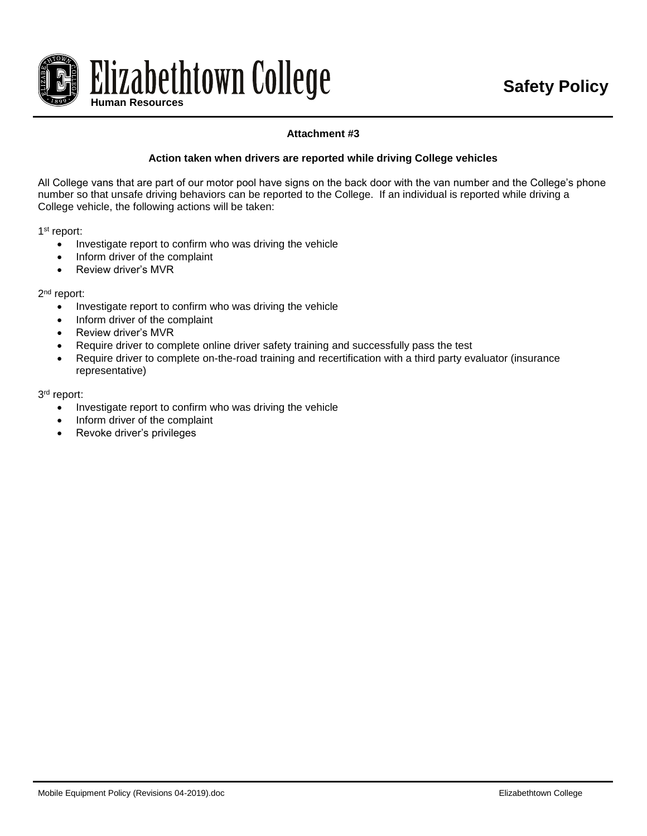

#### **Attachment #3**

#### **Action taken when drivers are reported while driving College vehicles**

All College vans that are part of our motor pool have signs on the back door with the van number and the College's phone number so that unsafe driving behaviors can be reported to the College. If an individual is reported while driving a College vehicle, the following actions will be taken:

1<sup>st</sup> report:

- Investigate report to confirm who was driving the vehicle
- Inform driver of the complaint
- Review driver's MVR

2<sup>nd</sup> report:

- Investigate report to confirm who was driving the vehicle
- Inform driver of the complaint
- Review driver's MVR
- Require driver to complete online driver safety training and successfully pass the test
- Require driver to complete on-the-road training and recertification with a third party evaluator (insurance representative)

3<sup>rd</sup> report:

- Investigate report to confirm who was driving the vehicle
- Inform driver of the complaint
- Revoke driver's privileges